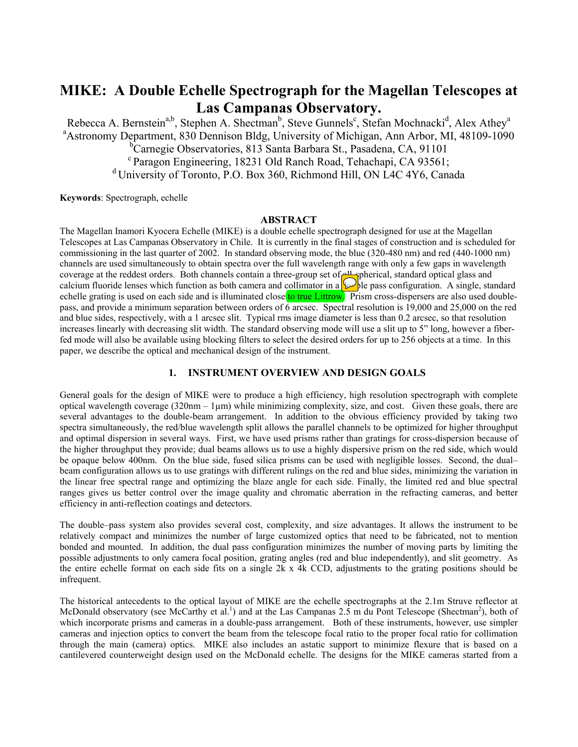# **MIKE: A Double Echelle Spectrograph for the Magellan Telescopes at Las Campanas Observatory.**

Rebecca A. Bernstein<sup>a,b</sup>, Stephen A. Shectman<sup>b</sup>, Steve Gunnels<sup>c</sup>, Stefan Mochnacki<sup>d</sup>, Alex Athey<sup>a</sup> <sup>a</sup> Astronomy Department, 830 Dennison Bldg, University of Michigan, Ann Arbor, MI, 48109-1090 b Carnegie Observatories, 813 Santa Barbara St., Pasadena, CA, 91101

c Paragon Engineering, 18231 Old Ranch Road, Tehachapi, CA 93561;

d University of Toronto, P.O. Box 360, Richmond Hill, ON L4C 4Y6, Canada

**Keywords**: Spectrograph, echelle

## **ABSTRACT**

The Magellan Inamori Kyocera Echelle (MIKE) is a double echelle spectrograph designed for use at the Magellan Telescopes at Las Campanas Observatory in Chile. It is currently in the final stages of construction and is scheduled for commissioning in the last quarter of 2002. In standard observing mode, the blue (320-480 nm) and red (440-1000 nm) channels are used simultaneously to obtain spectra over the full wavelength range with only a few gaps in wavelength coverage at the reddest orders. Both channels contain a three-group set of  $\frac{11}{6}$ spherical, standard optical glass and calcium fluoride lenses which function as both camera and collimator in a beth pass configuration. A single, standard echelle grating is used on each side and is illuminated close to true Littrow. Prism cross-dispersers are also used doublepass, and provide a minimum separation between orders of 6 arcsec. Spectral resolution is 19,000 and 25,000 on the red and blue sides, respectively, with a 1 arcsec slit. Typical rms image diameter is less than 0.2 arcsec, so that resolution increases linearly with decreasing slit width. The standard observing mode will use a slit up to 5" long, however a fiberfed mode will also be available using blocking filters to select the desired orders for up to 256 objects at a time. In this paper, we describe the optical and mechanical design of the instrument.

# **1. INSTRUMENT OVERVIEW AND DESIGN GOALS**

General goals for the design of MIKE were to produce a high efficiency, high resolution spectrograph with complete optical wavelength coverage  $(320nm - 1\mu m)$  while minimizing complexity, size, and cost. Given these goals, there are several advantages to the double-beam arrangement. In addition to the obvious efficiency provided by taking two spectra simultaneously, the red/blue wavelength split allows the parallel channels to be optimized for higher throughput and optimal dispersion in several ways. First, we have used prisms rather than gratings for cross-dispersion because of the higher throughput they provide; dual beams allows us to use a highly dispersive prism on the red side, which would be opaque below 400nm. On the blue side, fused silica prisms can be used with negligible losses. Second, the dual– beam configuration allows us to use gratings with different rulings on the red and blue sides, minimizing the variation in the linear free spectral range and optimizing the blaze angle for each side. Finally, the limited red and blue spectral ranges gives us better control over the image quality and chromatic aberration in the refracting cameras, and better efficiency in anti-reflection coatings and detectors.

The double–pass system also provides several cost, complexity, and size advantages. It allows the instrument to be relatively compact and minimizes the number of large customized optics that need to be fabricated, not to mention bonded and mounted. In addition, the dual pass configuration minimizes the number of moving parts by limiting the possible adjustments to only camera focal position, grating angles (red and blue independently), and slit geometry. As the entire echelle format on each side fits on a single 2k x 4k CCD, adjustments to the grating positions should be infrequent.

The historical antecedents to the optical layout of MIKE are the echelle spectrographs at the 2.1m Struve reflector at McDonald observatory (see McCarthy et al.<sup>1</sup>) and at the Las Campanas 2.5 m du Pont Telescope (Shectman<sup>2</sup>), both of which incorporate prisms and cameras in a double-pass arrangement. Both of these instruments, however, use simpler cameras and injection optics to convert the beam from the telescope focal ratio to the proper focal ratio for collimation through the main (camera) optics. MIKE also includes an astatic support to minimize flexure that is based on a cantilevered counterweight design used on the McDonald echelle. The designs for the MIKE cameras started from a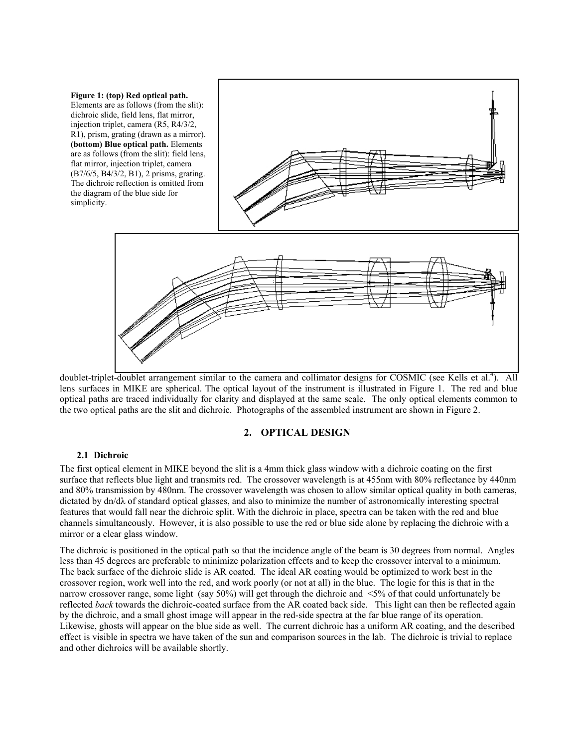

doublet-triplet-doublet arrangement similar to the camera and collimator designs for COSMIC (see Kells et al.<sup>4</sup>). All lens surfaces in MIKE are spherical. The optical layout of the instrument is illustrated in Figure 1. The red and blue optical paths are traced individually for clarity and displayed at the same scale. The only optical elements common to the two optical paths are the slit and dichroic. Photographs of the assembled instrument are shown in Figure 2.

## **2. OPTICAL DESIGN**

#### **2.1 Dichroic**

The first optical element in MIKE beyond the slit is a 4mm thick glass window with a dichroic coating on the first surface that reflects blue light and transmits red. The crossover wavelength is at 455nm with 80% reflectance by 440nm and 80% transmission by 480nm. The crossover wavelength was chosen to allow similar optical quality in both cameras, dictated by dn/dλ of standard optical glasses, and also to minimize the number of astronomically interesting spectral features that would fall near the dichroic split. With the dichroic in place, spectra can be taken with the red and blue channels simultaneously. However, it is also possible to use the red or blue side alone by replacing the dichroic with a mirror or a clear glass window.

The dichroic is positioned in the optical path so that the incidence angle of the beam is 30 degrees from normal. Angles less than 45 degrees are preferable to minimize polarization effects and to keep the crossover interval to a minimum. The back surface of the dichroic slide is AR coated. The ideal AR coating would be optimized to work best in the crossover region, work well into the red, and work poorly (or not at all) in the blue. The logic for this is that in the narrow crossover range, some light (say 50%) will get through the dichroic and <5% of that could unfortunately be reflected *back* towards the dichroic-coated surface from the AR coated back side. This light can then be reflected again by the dichroic, and a small ghost image will appear in the red-side spectra at the far blue range of its operation. Likewise, ghosts will appear on the blue side as well. The current dichroic has a uniform AR coating, and the described effect is visible in spectra we have taken of the sun and comparison sources in the lab. The dichroic is trivial to replace and other dichroics will be available shortly.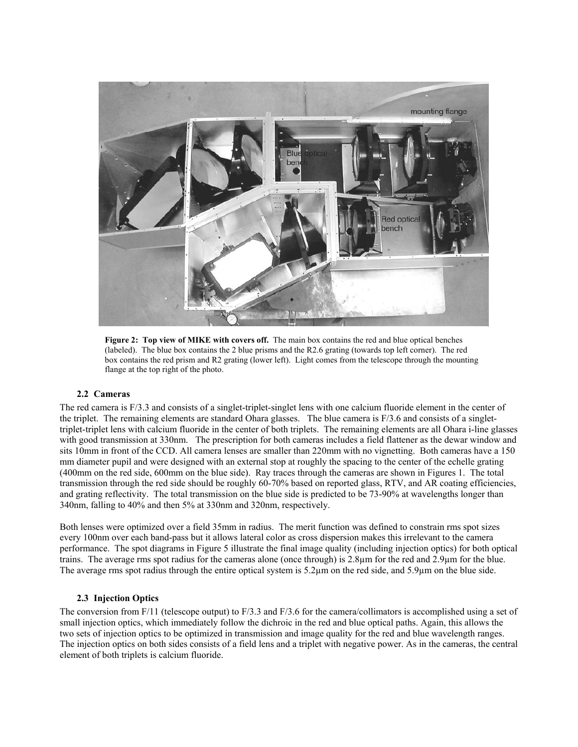

**Figure 2: Top view of MIKE with covers off.** The main box contains the red and blue optical benches (labeled). The blue box contains the 2 blue prisms and the R2.6 grating (towards top left corner). The red box contains the red prism and R2 grating (lower left). Light comes from the telescope through the mounting flange at the top right of the photo.

#### **2.2 Cameras**

The red camera is F/3.3 and consists of a singlet-triplet-singlet lens with one calcium fluoride element in the center of the triplet. The remaining elements are standard Ohara glasses. The blue camera is  $F/3.6$  and consists of a singlettriplet-triplet lens with calcium fluoride in the center of both triplets. The remaining elements are all Ohara i-line glasses with good transmission at 330nm. The prescription for both cameras includes a field flattener as the dewar window and sits 10mm in front of the CCD. All camera lenses are smaller than 220mm with no vignetting. Both cameras have a 150 mm diameter pupil and were designed with an external stop at roughly the spacing to the center of the echelle grating (400mm on the red side, 600mm on the blue side). Ray traces through the cameras are shown in Figures 1. The total transmission through the red side should be roughly 60-70% based on reported glass, RTV, and AR coating efficiencies, and grating reflectivity. The total transmission on the blue side is predicted to be 73-90% at wavelengths longer than 340nm, falling to 40% and then 5% at 330nm and 320nm, respectively.

Both lenses were optimized over a field 35mm in radius. The merit function was defined to constrain rms spot sizes every 100nm over each band-pass but it allows lateral color as cross dispersion makes this irrelevant to the camera performance. The spot diagrams in Figure 5 illustrate the final image quality (including injection optics) for both optical trains. The average rms spot radius for the cameras alone (once through) is 2.8µm for the red and 2.9µm for the blue. The average rms spot radius through the entire optical system is 5.2µm on the red side, and 5.9µm on the blue side.

#### **2.3 Injection Optics**

The conversion from F/11 (telescope output) to F/3.3 and F/3.6 for the camera/collimators is accomplished using a set of small injection optics, which immediately follow the dichroic in the red and blue optical paths. Again, this allows the two sets of injection optics to be optimized in transmission and image quality for the red and blue wavelength ranges. The injection optics on both sides consists of a field lens and a triplet with negative power. As in the cameras, the central element of both triplets is calcium fluoride.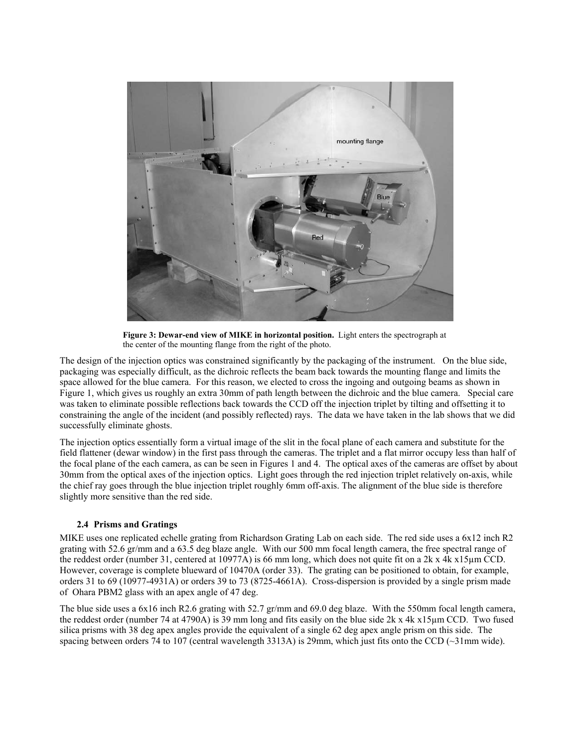

**Figure 3: Dewar-end view of MIKE in horizontal position.** Light enters the spectrograph at the center of the mounting flange from the right of the photo.

The design of the injection optics was constrained significantly by the packaging of the instrument. On the blue side, packaging was especially difficult, as the dichroic reflects the beam back towards the mounting flange and limits the space allowed for the blue camera. For this reason, we elected to cross the ingoing and outgoing beams as shown in Figure 1, which gives us roughly an extra 30mm of path length between the dichroic and the blue camera. Special care was taken to eliminate possible reflections back towards the CCD off the injection triplet by tilting and offsetting it to constraining the angle of the incident (and possibly reflected) rays. The data we have taken in the lab shows that we did successfully eliminate ghosts.

The injection optics essentially form a virtual image of the slit in the focal plane of each camera and substitute for the field flattener (dewar window) in the first pass through the cameras. The triplet and a flat mirror occupy less than half of the focal plane of the each camera, as can be seen in Figures 1 and 4. The optical axes of the cameras are offset by about 30mm from the optical axes of the injection optics. Light goes through the red injection triplet relatively on-axis, while the chief ray goes through the blue injection triplet roughly 6mm off-axis. The alignment of the blue side is therefore slightly more sensitive than the red side.

## **2.4 Prisms and Gratings**

MIKE uses one replicated echelle grating from Richardson Grating Lab on each side. The red side uses a 6x12 inch R2 grating with 52.6 gr/mm and a 63.5 deg blaze angle. With our 500 mm focal length camera, the free spectral range of the reddest order (number 31, centered at 10977A) is 66 mm long, which does not quite fit on a 2k x 4k x15µm CCD. However, coverage is complete blueward of 10470A (order 33). The grating can be positioned to obtain, for example, orders 31 to 69 (10977-4931A) or orders 39 to 73 (8725-4661A). Cross-dispersion is provided by a single prism made of Ohara PBM2 glass with an apex angle of 47 deg.

The blue side uses a 6x16 inch R2.6 grating with 52.7 gr/mm and 69.0 deg blaze. With the 550mm focal length camera, the reddest order (number 74 at 4790A) is 39 mm long and fits easily on the blue side 2k x 4k x15µm CCD. Two fused silica prisms with 38 deg apex angles provide the equivalent of a single 62 deg apex angle prism on this side. The spacing between orders 74 to 107 (central wavelength 3313A) is 29mm, which just fits onto the CCD ( $\sim$ 31mm wide).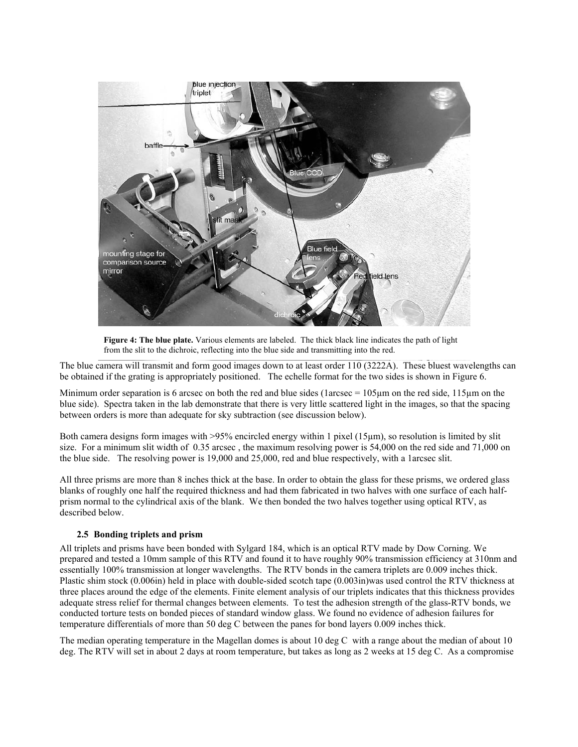

**Figure 4: The blue plate.** Various elements are labeled. The thick black line indicates the path of light from the slit to the dichroic, reflecting into the blue side and transmitting into the red.

The blue camera will transmit and form good images down to at least order 110 (3222A). These bluest wavelengths can be obtained if the grating is appropriately positioned. The echelle format for the two sides is shown in Figure 6.

Minimum order separation is 6 arcsec on both the red and blue sides (1arcsec = 105µm on the red side, 115µm on the blue side). Spectra taken in the lab demonstrate that there is very little scattered light in the images, so that the spacing between orders is more than adequate for sky subtraction (see discussion below).

Both camera designs form images with >95% encircled energy within 1 pixel (15µm), so resolution is limited by slit size. For a minimum slit width of 0.35 arcsec, the maximum resolving power is 54,000 on the red side and 71,000 on the blue side. The resolving power is 19,000 and 25,000, red and blue respectively, with a 1arcsec slit.

All three prisms are more than 8 inches thick at the base. In order to obtain the glass for these prisms, we ordered glass blanks of roughly one half the required thickness and had them fabricated in two halves with one surface of each halfprism normal to the cylindrical axis of the blank. We then bonded the two halves together using optical RTV, as described below.

## **2.5 Bonding triplets and prism**

All triplets and prisms have been bonded with Sylgard 184, which is an optical RTV made by Dow Corning. We prepared and tested a 10mm sample of this RTV and found it to have roughly 90% transmission efficiency at 310nm and essentially 100% transmission at longer wavelengths. The RTV bonds in the camera triplets are 0.009 inches thick. Plastic shim stock (0.006in) held in place with double-sided scotch tape (0.003in)was used control the RTV thickness at three places around the edge of the elements. Finite element analysis of our triplets indicates that this thickness provides adequate stress relief for thermal changes between elements. To test the adhesion strength of the glass-RTV bonds, we conducted torture tests on bonded pieces of standard window glass. We found no evidence of adhesion failures for temperature differentials of more than 50 deg C between the panes for bond layers 0.009 inches thick.

The median operating temperature in the Magellan domes is about 10 deg C with a range about the median of about 10 deg. The RTV will set in about 2 days at room temperature, but takes as long as 2 weeks at 15 deg C. As a compromise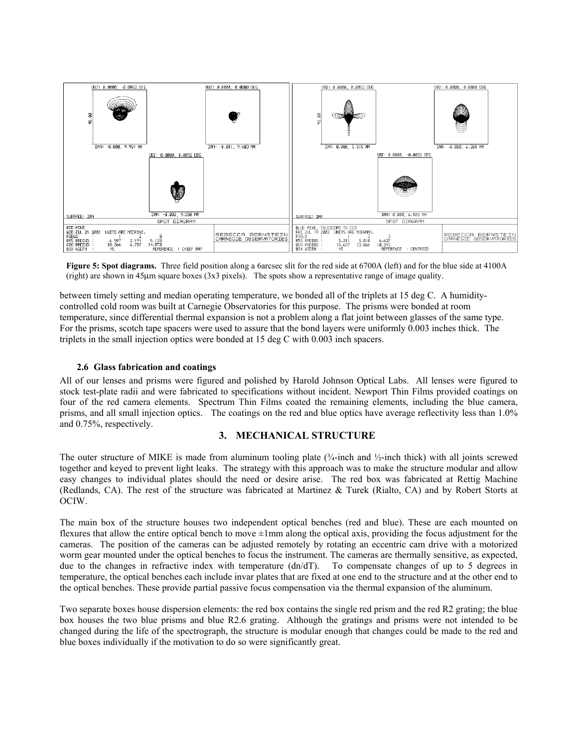

**Figure 5: Spot diagrams.** Three field position along a 6arcsec slit for the red side at 6700A (left) and for the blue side at 4100A (right) are shown in 45µm square boxes (3x3 pixels). The spots show a representative range of image quality.

between timely setting and median operating temperature, we bonded all of the triplets at 15 deg C. A humiditycontrolled cold room was built at Carnegie Observatories for this purpose. The prisms were bonded at room temperature, since differential thermal expansion is not a problem along a flat joint between glasses of the same type. For the prisms, scotch tape spacers were used to assure that the bond layers were uniformly 0.003 inches thick. The triplets in the small injection optics were bonded at 15 deg C with 0.003 inch spacers.

## **2.6 Glass fabrication and coatings**

All of our lenses and prisms were figured and polished by Harold Johnson Optical Labs. All lenses were figured to stock test-plate radii and were fabricated to specifications without incident. Newport Thin Films provided coatings on four of the red camera elements. Spectrum Thin Films coated the remaining elements, including the blue camera, prisms, and all small injection optics. The coatings on the red and blue optics have average reflectivity less than 1.0% and 0.75%, respectively.

## **3. MECHANICAL STRUCTURE**

The outer structure of MIKE is made from aluminum tooling plate  $(\frac{3}{4})$ -inch and  $\frac{1}{2}$ -inch thick) with all joints screwed together and keyed to prevent light leaks. The strategy with this approach was to make the structure modular and allow easy changes to individual plates should the need or desire arise. The red box was fabricated at Rettig Machine (Redlands, CA). The rest of the structure was fabricated at Martinez & Turek (Rialto, CA) and by Robert Storts at OCIW.

The main box of the structure houses two independent optical benches (red and blue). These are each mounted on flexures that allow the entire optical bench to move  $\pm 1$ mm along the optical axis, providing the focus adjustment for the cameras. The position of the cameras can be adjusted remotely by rotating an eccentric cam drive with a motorized worm gear mounted under the optical benches to focus the instrument. The cameras are thermally sensitive, as expected, due to the changes in refractive index with temperature (dn/dT). To compensate changes of up to 5 degrees in temperature, the optical benches each include invar plates that are fixed at one end to the structure and at the other end to the optical benches. These provide partial passive focus compensation via the thermal expansion of the aluminum.

Two separate boxes house dispersion elements: the red box contains the single red prism and the red R2 grating; the blue box houses the two blue prisms and blue R2.6 grating. Although the gratings and prisms were not intended to be changed during the life of the spectrograph, the structure is modular enough that changes could be made to the red and blue boxes individually if the motivation to do so were significantly great.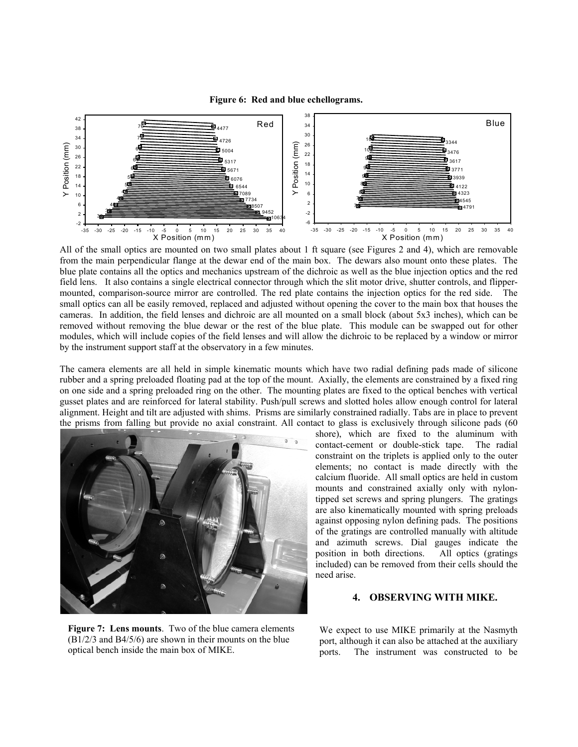



All of the small optics are mounted on two small plates about 1 ft square (see Figures 2 and 4), which are removable from the main perpendicular flange at the dewar end of the main box. The dewars also mount onto these plates. The blue plate contains all the optics and mechanics upstream of the dichroic as well as the blue injection optics and the red field lens. It also contains a single electrical connector through which the slit motor drive, shutter controls, and flippermounted, comparison-source mirror are controlled. The red plate contains the injection optics for the red side. The small optics can all be easily removed, replaced and adjusted without opening the cover to the main box that houses the cameras. In addition, the field lenses and dichroic are all mounted on a small block (about 5x3 inches), which can be removed without removing the blue dewar or the rest of the blue plate. This module can be swapped out for other modules, which will include copies of the field lenses and will allow the dichroic to be replaced by a window or mirror by the instrument support staff at the observatory in a few minutes.

The camera elements are all held in simple kinematic mounts which have two radial defining pads made of silicone rubber and a spring preloaded floating pad at the top of the mount. Axially, the elements are constrained by a fixed ring on one side and a spring preloaded ring on the other. The mounting plates are fixed to the optical benches with vertical gusset plates and are reinforced for lateral stability. Push/pull screws and slotted holes allow enough control for lateral alignment. Height and tilt are adjusted with shims. Prisms are similarly constrained radially. Tabs are in place to prevent the prisms from falling but provide no axial constraint. All contact to glass is exclusively through silicone pads (60



**Figure 7: Lens mounts**. Two of the blue camera elements (B1/2/3 and B4/5/6) are shown in their mounts on the blue optical bench inside the main box of MIKE.

shore), which are fixed to the aluminum with contact-cement or double-stick tape. The radial constraint on the triplets is applied only to the outer elements; no contact is made directly with the calcium fluoride. All small optics are held in custom mounts and constrained axially only with nylontipped set screws and spring plungers. The gratings are also kinematically mounted with spring preloads against opposing nylon defining pads. The positions of the gratings are controlled manually with altitude and azimuth screws. Dial gauges indicate the position in both directions. All optics (gratings included) can be removed from their cells should the need arise.

## **4. OBSERVING WITH MIKE.**

We expect to use MIKE primarily at the Nasmyth port, although it can also be attached at the auxiliary ports. The instrument was constructed to be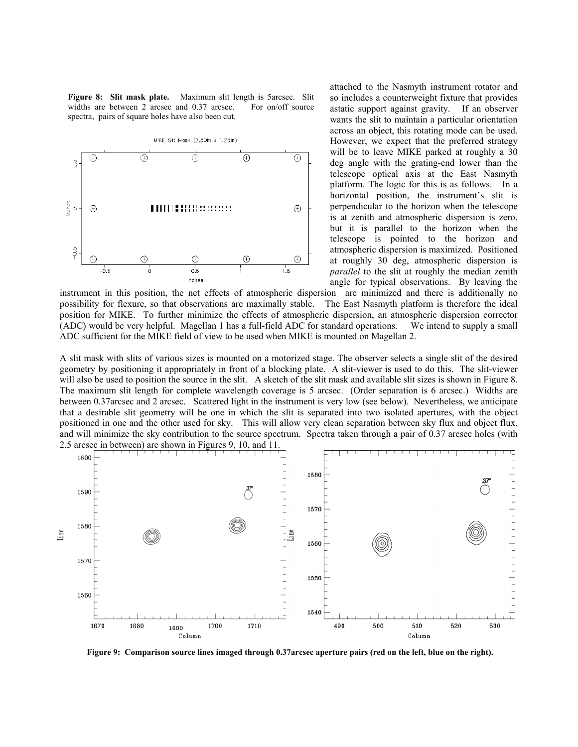**Figure 8: Slit mask plate.** Maximum slit length is 5arcsec. Slit widths are between 2 arcsec and 0.37 arcsec. For on/off source spectra, pairs of square holes have also been cut.



attached to the Nasmyth instrument rotator and so includes a counterweight fixture that provides astatic support against gravity. If an observer wants the slit to maintain a particular orientation across an object, this rotating mode can be used. However, we expect that the preferred strategy will be to leave MIKE parked at roughly a 30 deg angle with the grating-end lower than the telescope optical axis at the East Nasmyth platform. The logic for this is as follows. In a horizontal position, the instrument's slit is perpendicular to the horizon when the telescope is at zenith and atmospheric dispersion is zero, but it is parallel to the horizon when the telescope is pointed to the horizon and atmospheric dispersion is maximized. Positioned at roughly 30 deg, atmospheric dispersion is *parallel* to the slit at roughly the median zenith angle for typical observations. By leaving the

instrument in this position, the net effects of atmospheric dispersion are minimized and there is additionally no possibility for flexure, so that observations are maximally stable. The East Nasmyth platform is therefore the ideal position for MIKE. To further minimize the effects of atmospheric dispersion, an atmospheric dispersion corrector (ADC) would be very helpful. Magellan 1 has a full-field ADC for standard operations. We intend to supply a small ADC sufficient for the MIKE field of view to be used when MIKE is mounted on Magellan 2.

A slit mask with slits of various sizes is mounted on a motorized stage. The observer selects a single slit of the desired geometry by positioning it appropriately in front of a blocking plate. A slit-viewer is used to do this. The slit-viewer will also be used to position the source in the slit. A sketch of the slit mask and available slit sizes is shown in Figure 8. The maximum slit length for complete wavelength coverage is 5 arcsec. (Order separation is 6 arcsec.) Widths are between 0.37arcsec and 2 arcsec. Scattered light in the instrument is very low (see below). Nevertheless, we anticipate that a desirable slit geometry will be one in which the slit is separated into two isolated apertures, with the object positioned in one and the other used for sky. This will allow very clean separation between sky flux and object flux, and will minimize the sky contribution to the source spectrum. Spectra taken through a pair of 0.37 arcsec holes (with 2.5 arcsec in between) are shown in Figures 9, 10, and 11.



**Figure 9: Comparison source lines imaged through 0.37arcsec aperture pairs (red on the left, blue on the right).**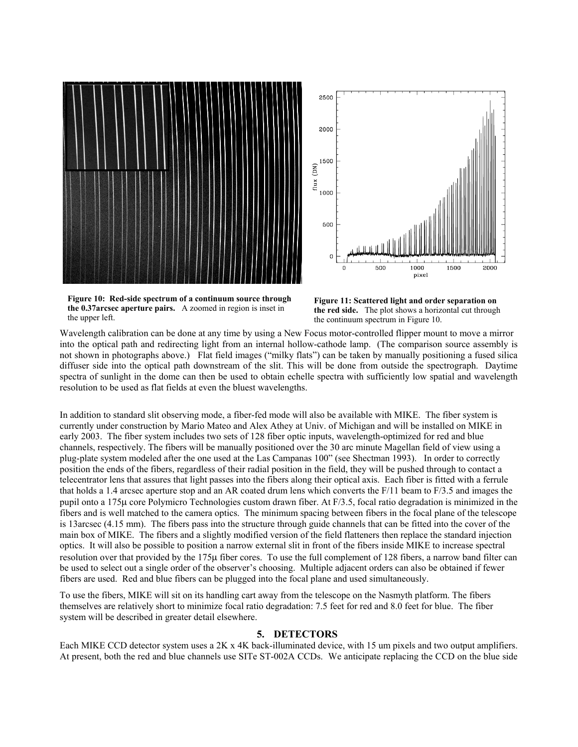



**Figure 10: Red-side spectrum of a continuum source through the 0.37arcsec aperture pairs.** A zoomed in region is inset in the upper left.

**Figure 11: Scattered light and order separation on the red side.** The plot shows a horizontal cut through the continuum spectrum in Figure 10.

Wavelength calibration can be done at any time by using a New Focus motor-controlled flipper mount to move a mirror into the optical path and redirecting light from an internal hollow-cathode lamp. (The comparison source assembly is not shown in photographs above.) Flat field images ("milky flats") can be taken by manually positioning a fused silica diffuser side into the optical path downstream of the slit. This will be done from outside the spectrograph. Daytime spectra of sunlight in the dome can then be used to obtain echelle spectra with sufficiently low spatial and wavelength resolution to be used as flat fields at even the bluest wavelengths.

In addition to standard slit observing mode, a fiber-fed mode will also be available with MIKE. The fiber system is currently under construction by Mario Mateo and Alex Athey at Univ. of Michigan and will be installed on MIKE in early 2003. The fiber system includes two sets of 128 fiber optic inputs, wavelength-optimized for red and blue channels, respectively. The fibers will be manually positioned over the 30 arc minute Magellan field of view using a plug-plate system modeled after the one used at the Las Campanas 100" (see Shectman 1993). In order to correctly position the ends of the fibers, regardless of their radial position in the field, they will be pushed through to contact a telecentrator lens that assures that light passes into the fibers along their optical axis. Each fiber is fitted with a ferrule that holds a 1.4 arcsec aperture stop and an AR coated drum lens which converts the F/11 beam to F/3.5 and images the pupil onto a 175µ core Polymicro Technologies custom drawn fiber. At F/3.5, focal ratio degradation is minimized in the fibers and is well matched to the camera optics. The minimum spacing between fibers in the focal plane of the telescope is 13arcsec (4.15 mm). The fibers pass into the structure through guide channels that can be fitted into the cover of the main box of MIKE. The fibers and a slightly modified version of the field flatteners then replace the standard injection optics. It will also be possible to position a narrow external slit in front of the fibers inside MIKE to increase spectral resolution over that provided by the 175µ fiber cores. To use the full complement of 128 fibers, a narrow band filter can be used to select out a single order of the observer's choosing. Multiple adjacent orders can also be obtained if fewer fibers are used. Red and blue fibers can be plugged into the focal plane and used simultaneously.

To use the fibers, MIKE will sit on its handling cart away from the telescope on the Nasmyth platform. The fibers themselves are relatively short to minimize focal ratio degradation: 7.5 feet for red and 8.0 feet for blue. The fiber system will be described in greater detail elsewhere.

#### **5. DETECTORS**

Each MIKE CCD detector system uses a 2K x 4K back-illuminated device, with 15 um pixels and two output amplifiers. At present, both the red and blue channels use SITe ST-002A CCDs. We anticipate replacing the CCD on the blue side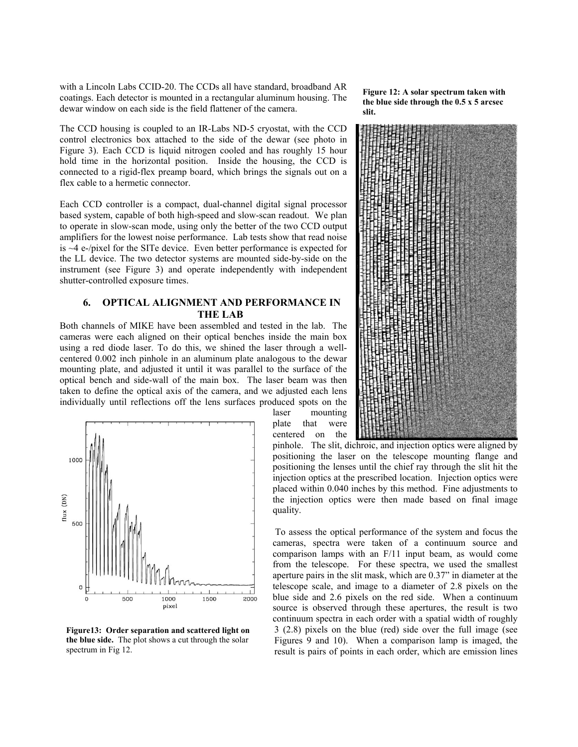with a Lincoln Labs CCID-20. The CCDs all have standard, broadband AR coatings. Each detector is mounted in a rectangular aluminum housing. The dewar window on each side is the field flattener of the camera.

The CCD housing is coupled to an IR-Labs ND-5 cryostat, with the CCD control electronics box attached to the side of the dewar (see photo in Figure 3). Each CCD is liquid nitrogen cooled and has roughly 15 hour hold time in the horizontal position. Inside the housing, the CCD is connected to a rigid-flex preamp board, which brings the signals out on a flex cable to a hermetic connector.

Each CCD controller is a compact, dual-channel digital signal processor based system, capable of both high-speed and slow-scan readout. We plan to operate in slow-scan mode, using only the better of the two CCD output amplifiers for the lowest noise performance. Lab tests show that read noise is  $\sim$ 4 e-/pixel for the SITe device. Even better performance is expected for the LL device. The two detector systems are mounted side-by-side on the instrument (see Figure 3) and operate independently with independent shutter-controlled exposure times.

# **6. OPTICAL ALIGNMENT AND PERFORMANCE IN THE LAB**

Both channels of MIKE have been assembled and tested in the lab. The cameras were each aligned on their optical benches inside the main box using a red diode laser. To do this, we shined the laser through a wellcentered 0.002 inch pinhole in an aluminum plate analogous to the dewar mounting plate, and adjusted it until it was parallel to the surface of the optical bench and side-wall of the main box. The laser beam was then taken to define the optical axis of the camera, and we adjusted each lens individually until reflections off the lens surfaces produced spots on the



**Figure13: Order separation and scattered light on the blue side.** The plot shows a cut through the solar spectrum in Fig 12.

**Figure 12: A solar spectrum taken with the blue side through the 0.5 x 5 arcsec slit.** 



laser mounting plate that were centered on the

pinhole. The slit, dichroic, and injection optics were aligned by positioning the laser on the telescope mounting flange and positioning the lenses until the chief ray through the slit hit the injection optics at the prescribed location. Injection optics were placed within 0.040 inches by this method. Fine adjustments to the injection optics were then made based on final image quality.

 To assess the optical performance of the system and focus the cameras, spectra were taken of a continuum source and comparison lamps with an F/11 input beam, as would come from the telescope. For these spectra, we used the smallest aperture pairs in the slit mask, which are 0.37" in diameter at the telescope scale, and image to a diameter of 2.8 pixels on the blue side and 2.6 pixels on the red side. When a continuum source is observed through these apertures, the result is two continuum spectra in each order with a spatial width of roughly 3 (2.8) pixels on the blue (red) side over the full image (see Figures 9 and 10). When a comparison lamp is imaged, the result is pairs of points in each order, which are emission lines